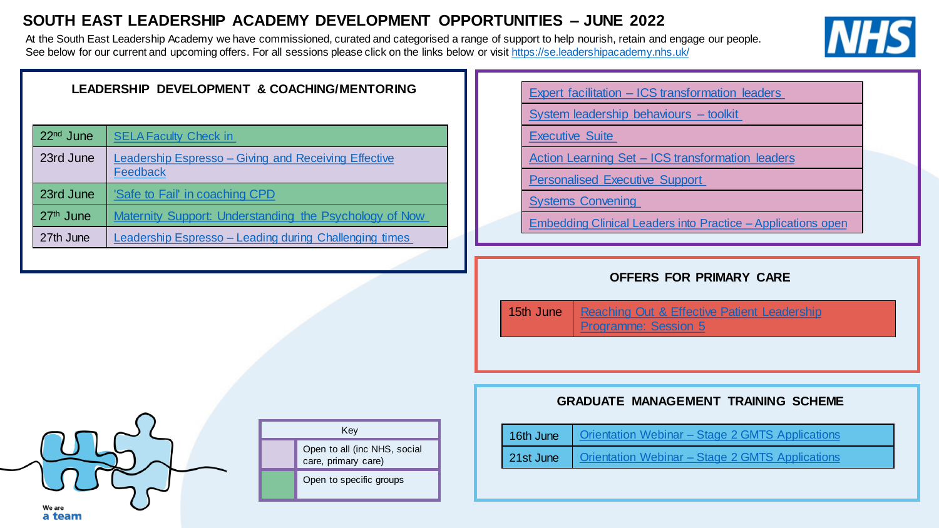# **SOUTH EAST LEADERSHIP ACADEMY DEVELOPMENT OPPORTUNITIES – JUNE 2022**

At the South East Leadership Academy we have commissioned, curated and categorised a range of support to help nourish, retain and engage our people. See below for our current and upcoming offers. For all sessions please click on the links below or visit <https://se.leadershipacademy.nhs.uk/>



| LEADERSHIP DEVELOPMENT & COACHING/MENTORING |                                                        |  | <b>Expert facilitation - ICS transformation leaders</b> |  |  |
|---------------------------------------------|--------------------------------------------------------|--|---------------------------------------------------------|--|--|
|                                             |                                                        |  | System leadership behaviours - toolkit                  |  |  |
| 22 <sup>nd</sup> June                       | <b>SELA Faculty Check in</b>                           |  | <b>Executive Suite</b>                                  |  |  |
| 23rd June                                   | Leadership Espresso - Giving and Receiving Effective   |  | <b>Action Learning Set - ICS transformation leader</b>  |  |  |
|                                             | Feedback                                               |  | <b>Personalised Executive Support</b>                   |  |  |
| 23rd June                                   | 'Safe to Fail' in coaching CPD                         |  | <b>Systems Convening</b>                                |  |  |
| $27th$ June                                 | Maternity Support: Understanding the Psychology of Now |  | Embedding Clinical Leaders into Practice - Appli        |  |  |
| 27th June                                   | Leadership Espresso - Leading during Challenging times |  |                                                         |  |  |
|                                             |                                                        |  |                                                         |  |  |

Action Learning Set – [ICS transformation leaders](mailto:beth.hill@leadershipacademy.nhs.uk)

[Embedding Clinical Leaders into Practice –](mailto:heeeclipsprog@sussexpartnership.nhs.uk?subject=Embedding%20Clinical%20Leaders%20into%20Practice) Applications open

#### **OFFERS FOR PRIMARY CARE**

15th June | Reaching Out & Effective Patient Leadership Programme: Session 5

## **GRADUATE MANAGEMENT TRAINING SCHEME**

| 16th June   Orientation Webinar - Stage 2 GMTS Applications |
|-------------------------------------------------------------|
| 21st June   Orientation Webinar - Stage 2 GMTS Applications |



Key Open to all (inc NHS, social care, primary care) Open to specific groups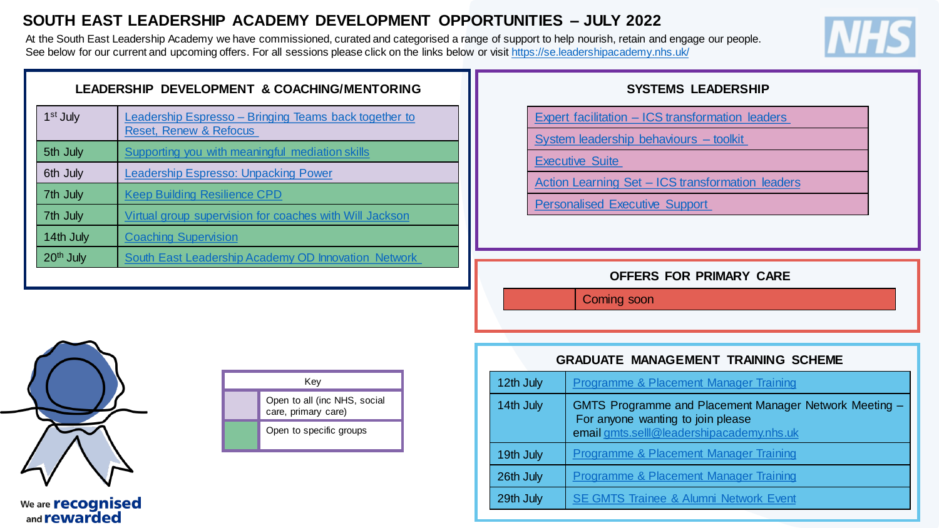# **SOUTH EAST LEADERSHIP ACADEMY DEVELOPMENT OPPORTUNITIES – JULY 2022**

At the South East Leadership Academy we have commissioned, curated and categorised a range of support to help nourish, retain and engage our people. See below for our current and upcoming offers. For all sessions please click on the links below or visit <https://se.leadershipacademy.nhs.uk/>



| LEADERSHIP DEVELOPMENT & COACHING/MENTORING |                                                                                            |  |  |
|---------------------------------------------|--------------------------------------------------------------------------------------------|--|--|
| 1 <sup>st</sup> July                        | Leadership Espresso – Bringing Teams back together to<br><b>Reset, Renew &amp; Refocus</b> |  |  |
| 5th July                                    | Supporting you with meaningful mediation skills                                            |  |  |
| 6th July                                    | Leadership Espresso: Unpacking Power                                                       |  |  |
| 7th July                                    | <b>Keep Building Resilience CPD</b>                                                        |  |  |
| 7th July                                    | Virtual group supervision for coaches with Will Jackson                                    |  |  |
| 14th July                                   | <b>Coaching Supervision</b>                                                                |  |  |
| 20 <sup>th</sup> July                       | <b>South East Leadership Academy OD Innovation Network</b>                                 |  |  |
|                                             |                                                                                            |  |  |

| We are <b>recognised</b> |
|--------------------------|
| and <b>rewarded</b>      |

| Key |                                                     |  |  |
|-----|-----------------------------------------------------|--|--|
|     | Open to all (inc NHS, social<br>care, primary care) |  |  |
|     | Open to specific groups                             |  |  |

## **SYSTEMS LEADERSHIP**

Expert facilitation – [ICS transformation leaders](mailto:ali.jennings@leadershipacademy.nhs.uk)

[System leadership behaviours –](https://www.nwacademy.nhs.uk/discover/offers/system-leadership-behaviour-cards) toolkit

[Executive Suite](https://people.nhs.uk/senior-and-board-level-support-package/)

Action Learning Set – [ICS transformation leaders](mailto:beth.hill@leadershipacademy.nhs.uk)

[Personalised Executive Support](https://people.nhs.uk/senior-and-board-level-support-package/)

**OFFERS FOR PRIMARY CARE**

Coming soon

## **GRADUATE MANAGEMENT TRAINING SCHEME**

| 12th July | Programme & Placement Manager Training                                                                                                   |
|-----------|------------------------------------------------------------------------------------------------------------------------------------------|
| 14th July | GMTS Programme and Placement Manager Network Meeting -<br>For anyone wanting to join please<br>email gmts.selll@leadershipacademy.nhs.uk |
| 19th July | <b>Programme &amp; Placement Manager Training</b>                                                                                        |
| 26th July | <b>Programme &amp; Placement Manager Training</b>                                                                                        |
| 29th July | <b>SE GMTS Trainee &amp; Alumni Network Event</b>                                                                                        |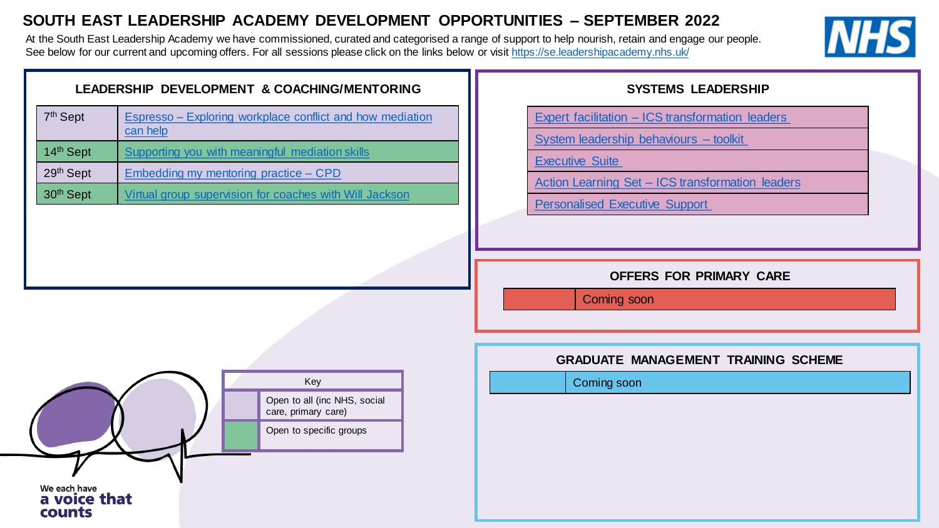# **SOUTH EAST LEADERSHIP ACADEMY DEVELOPMENT OPPORTUNITIES – SEPTEMBER 2022**

At the South East Leadership Academy we have commissioned, curated and categorised a range of support to help nourish, retain and engage our people. See below for our current and upcoming offers. For all sessions please click on the links below or visit <https://se.leadershipacademy.nhs.uk/>



| 7 <sup>th</sup> Sept | Espresso – Exploring workplace conflict and how mediation<br>can help |
|----------------------|-----------------------------------------------------------------------|
| 14th Sept            | Supporting you with meaningful mediation skills                       |
| 29th Sept            | Embedding my mentoring practice – CPD                                 |
| 30th Sept            | Virtual group supervision for coaches with Will Jackson               |
|                      |                                                                       |
|                      |                                                                       |

## **SYSTEMS LEADERSHIP**

Expert facilitation – [ICS transformation leaders](mailto:ali.jennings@leadershipacademy.nhs.uk)

[System leadership behaviours –](https://www.nwacademy.nhs.uk/discover/offers/system-leadership-behaviour-cards) toolkit

[Executive Suite](https://people.nhs.uk/senior-and-board-level-support-package/)

Action Learning Set – [ICS transformation leaders](mailto:beth.hill@leadershipacademy.nhs.uk)

[Personalised Executive Support](https://people.nhs.uk/senior-and-board-level-support-package/)

**OFFERS FOR PRIMARY CARE**

Coming soon

#### **GRADUATE MANAGEMENT TRAINING SCHEME**

Coming soon